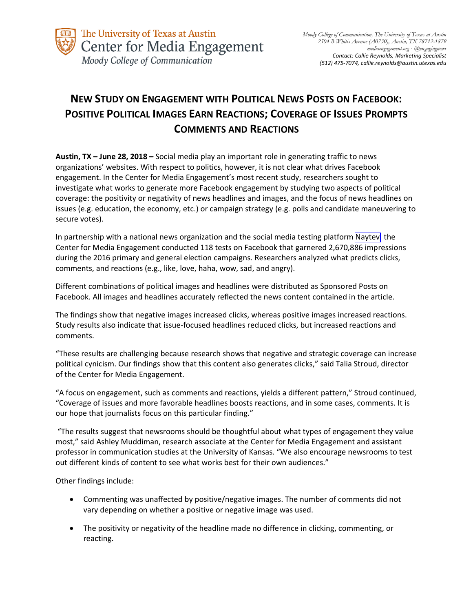

## **NEW STUDY ON ENGAGEMENT WITH POLITICAL NEWS POSTS ON FACEBOOK: POSITIVE POLITICAL IMAGES EARN REACTIONS; COVERAGE OF ISSUES PROMPTS COMMENTS AND REACTIONS**

**Austin, TX – June 28, 2018 –** Social media play an important role in generating traffic to news organizations' websites. With respect to politics, however, it is not clear what drives Facebook engagement. In the Center for Media Engagement's most recent study, researchers sought to investigate what works to generate more Facebook engagement by studying two aspects of political coverage: the positivity or negativity of news headlines and images, and the focus of news headlines on issues (e.g. education, the economy, etc.) or campaign strategy (e.g. polls and candidate maneuvering to secure votes).

In partnership with a national news organization and the social media testing platform [Naytev,](http://www.naytev.com) the Center for Media Engagement conducted 118 tests on Facebook that garnered 2,670,886 impressions during the 2016 primary and general election campaigns. Researchers analyzed what predicts clicks, comments, and reactions (e.g., like, love, haha, wow, sad, and angry).

Different combinations of political images and headlines were distributed as Sponsored Posts on Facebook. All images and headlines accurately reflected the news content contained in the article.

The findings show that negative images increased clicks, whereas positive images increased reactions. Study results also indicate that issue-focused headlines reduced clicks, but increased reactions and comments.

"These results are challenging because research shows that negative and strategic coverage can increase political cynicism. Our findings show that this content also generates clicks," said Talia Stroud, director of the Center for Media Engagement.

"A focus on engagement, such as comments and reactions, yields a different pattern," Stroud continued, "Coverage of issues and more favorable headlines boosts reactions, and in some cases, comments. It is our hope that journalists focus on this particular finding."

"The results suggest that newsrooms should be thoughtful about what types of engagement they value most," said Ashley Muddiman, research associate at the Center for Media Engagement and assistant professor in communication studies at the University of Kansas. "We also encourage newsrooms to test out different kinds of content to see what works best for their own audiences."

Other findings include:

- Commenting was unaffected by positive/negative images. The number of comments did not vary depending on whether a positive or negative image was used.
- The positivity or negativity of the headline made no difference in clicking, commenting, or reacting.